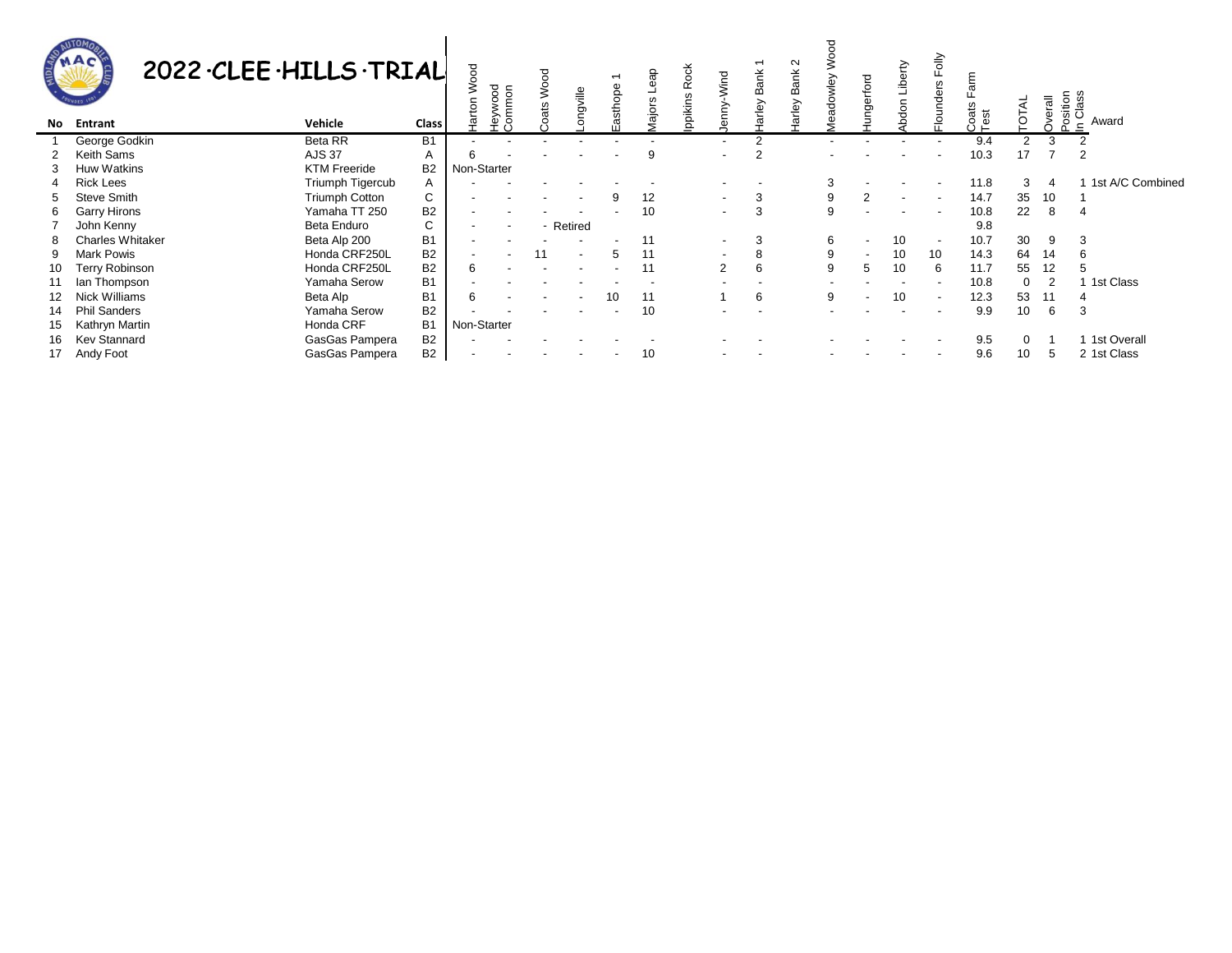|    | 2022 CLEE . HILLS . TRIAL<br>No Entrant | Vehicle               | Class          | g<br>δñ<br>학 | nood<br>www<br>နို့ ဂျွ | ▿<br>ats | ngville                  | sthope       | န<br>G)<br>$\omega$<br>Major: | Rock<br>lppikins | Wind                     | <b>Bank</b><br>arley | Ν<br><b>Bank</b><br>arley | adowle | erford | Liberty<br>don | $\frac{1}{5}$<br>ட்<br>w<br>ۊ<br>loundi | oats<br>$\frac{3}{1}$ est |          | verall | Position<br>In Class<br>Award |
|----|-----------------------------------------|-----------------------|----------------|--------------|-------------------------|----------|--------------------------|--------------|-------------------------------|------------------|--------------------------|----------------------|---------------------------|--------|--------|----------------|-----------------------------------------|---------------------------|----------|--------|-------------------------------|
|    | George Godkin                           | <b>Beta RR</b>        | В1             |              |                         |          |                          |              |                               |                  | $\overline{\phantom{a}}$ | 2                    |                           | ۰      |        |                |                                         | 9.4                       |          |        |                               |
|    | Keith Sams                              | <b>AJS 37</b>         | A              |              |                         |          |                          |              | 9                             |                  | $\overline{\phantom{0}}$ | 2                    |                           |        |        |                |                                         | 10.3                      |          |        |                               |
|    | <b>Huw Watkins</b>                      | <b>KTM Freeride</b>   | <b>B2</b>      | Non-Starter  |                         |          |                          |              |                               |                  |                          |                      |                           |        |        |                |                                         |                           |          |        |                               |
|    | <b>Rick Lees</b>                        | Triumph Tigercub      | A              |              |                         |          |                          |              |                               |                  |                          |                      |                           |        |        |                | $\overline{\phantom{a}}$                | 11.8                      | 3        |        | 1st A/C Combined              |
|    | Steve Smith                             | <b>Triumph Cotton</b> | C              |              |                         |          |                          |              | 12                            |                  | $\overline{\phantom{a}}$ | 3                    |                           |        |        |                |                                         | 14.7                      | 35       | 10     |                               |
| 6  | <b>Garry Hirons</b>                     | Yamaha TT 250         | <b>B2</b>      |              |                         |          |                          |              | 10                            |                  | $\overline{\phantom{a}}$ | 3                    |                           |        |        |                | $\overline{\phantom{a}}$                | 10.8                      | 22       | 8      |                               |
|    | John Kenny                              | Beta Enduro           | C              |              |                         |          | - Retired                |              |                               |                  |                          |                      |                           |        |        |                |                                         | 9.8                       |          |        |                               |
|    | <b>Charles Whitaker</b>                 | Beta Alp 200          | <b>B1</b>      |              |                         |          |                          |              | 11                            |                  | $\overline{\phantom{a}}$ | 3                    |                           | 6      |        | 10             | $\overline{\phantom{a}}$                | 10.7                      | 30       | 9      | 3                             |
| 9  | <b>Mark Powis</b>                       | Honda CRF250L         | <b>B2</b>      |              |                         | 11       | $\overline{\phantom{a}}$ | $\mathbf{h}$ | 11                            |                  | $\overline{\phantom{a}}$ | 8                    |                           | 9      |        | 10             | 10 <sup>°</sup>                         | 14.3                      | 64       | -14    | 6                             |
| 10 | Terry Robinson                          | Honda CRF250L         | <b>B2</b>      | 6            |                         |          |                          |              | 11                            |                  | 2                        | 6                    |                           |        | 5      | 10             | 6                                       | 11.7                      | 55       | 12     |                               |
|    | lan Thompson                            | Yamaha Serow          | <b>B1</b>      |              |                         |          |                          |              |                               |                  |                          |                      |                           |        |        |                |                                         | 10.8                      | $\Omega$ |        | 1st Class                     |
|    | Nick Williams                           | Beta Alp              | <b>B1</b>      |              |                         |          |                          | 10           | 11                            |                  |                          | 6                    |                           | 9      |        | 10             | $\overline{\phantom{a}}$                | 12.3                      | 53       |        | 4                             |
|    | <b>Phil Sanders</b>                     | Yamaha Serow          | B <sub>2</sub> |              |                         |          |                          |              | 10                            |                  |                          |                      |                           |        |        |                |                                         | 9.9                       | 10       | 6      | 3                             |
| 15 | Kathryn Martin                          | Honda CRF             | Β1             | Non-Starter  |                         |          |                          |              |                               |                  |                          |                      |                           |        |        |                |                                         |                           |          |        |                               |
| 16 | <b>Kev Stannard</b>                     | GasGas Pampera        | <b>B2</b>      |              |                         |          |                          |              |                               |                  |                          |                      |                           |        |        |                |                                         | 9.5                       | $\Omega$ |        | 1 1st Overall                 |
|    | 17 Andy Foot                            | GasGas Pampera        | B <sub>2</sub> |              |                         |          |                          |              | 10                            |                  |                          |                      |                           |        |        |                |                                         | 9.6                       | 10       |        | 2 1st Class                   |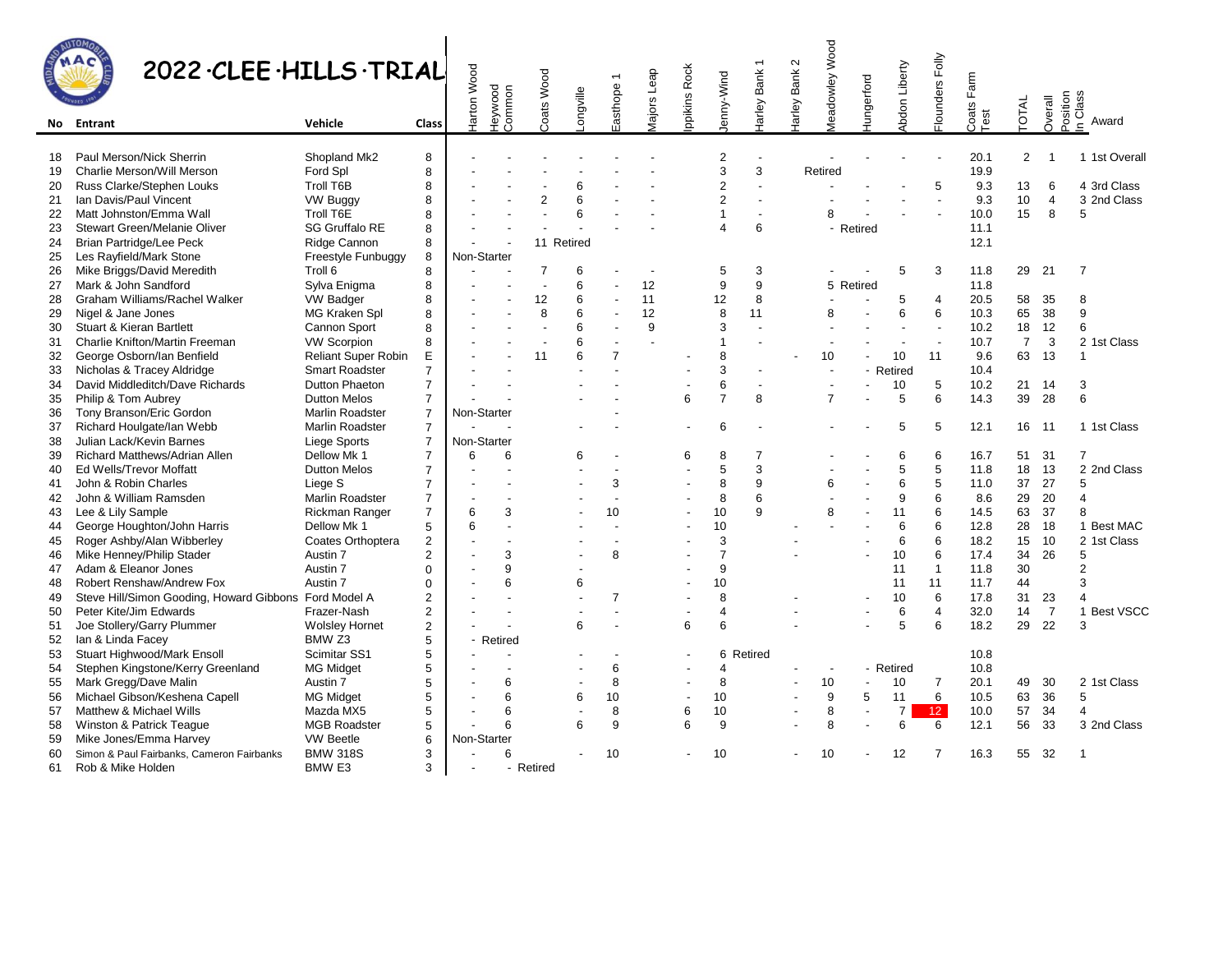| MOS                            |  |
|--------------------------------|--|
|                                |  |
| <b>LOUIS</b><br>٠<br><b>DE</b> |  |

## $\overline{a}$

|          | 2022 CLEE . HILLS . TRIAL                                                       |                                            |                               | larton Wood | <b>Heywood</b><br>Common | Coats Wood     | ongville   | asthope 1            | <b>Aajors</b> Leap | ppikins Rock   | lenny-Wind          | arley Bank 1             | $\sim$<br>arley Bank | <b>Meadowley Wood</b> | <b>Hungerford</b> | Abdon Liberty  | Flounders Folly   | Farm          | <b>TOTAL</b>   | Overall              | Position<br>In Class |
|----------|---------------------------------------------------------------------------------|--------------------------------------------|-------------------------------|-------------|--------------------------|----------------|------------|----------------------|--------------------|----------------|---------------------|--------------------------|----------------------|-----------------------|-------------------|----------------|-------------------|---------------|----------------|----------------------|----------------------|
| No.      | Entrant                                                                         | Vehicle                                    | Class                         |             |                          |                |            |                      |                    |                |                     |                          |                      |                       |                   |                |                   | Coats<br>Test |                |                      | Award                |
|          |                                                                                 |                                            |                               |             |                          |                |            |                      |                    |                |                     |                          |                      |                       |                   |                |                   |               |                |                      |                      |
| 18       | Paul Merson/Nick Sherrin                                                        | Shopland Mk2                               | 8                             |             |                          |                |            |                      |                    |                | $\overline{2}$      | $\overline{\phantom{a}}$ |                      |                       |                   |                |                   | 20.1          | $\overline{2}$ |                      | 1 1st Overall        |
| 19       | Charlie Merson/Will Merson                                                      | Ford Spl                                   | 8                             |             |                          |                |            |                      |                    |                | 3                   | 3                        |                      | Retired               |                   |                |                   | 19.9          |                |                      |                      |
| 20       | Russ Clarke/Stephen Louks                                                       | <b>Troll T6B</b>                           | 8                             |             |                          |                | 6          |                      |                    |                | $\overline{2}$      | $\overline{\phantom{a}}$ |                      |                       |                   |                | 5                 | 9.3           | 13             | 6                    | 4 3rd Class          |
| 21       | Ian Davis/Paul Vincent                                                          | <b>VW Buggy</b>                            | 8                             |             |                          | $\mathfrak{p}$ | 6          |                      |                    |                | $\overline{2}$      |                          |                      |                       |                   |                |                   | 9.3           | 10             | 4                    | 3 2nd Class          |
| 22       | Matt Johnston/Emma Wall                                                         | Troll T6E                                  | 8                             |             |                          |                | 6          |                      |                    |                | 1                   |                          |                      | 8                     |                   |                |                   | 10.0          | 15             | 8                    | 5                    |
| 23       | Stewart Green/Melanie Oliver                                                    | <b>SG Gruffalo RE</b>                      | 8                             |             |                          |                |            |                      |                    |                | $\Delta$            | 6                        |                      |                       | Retired           |                |                   | 11.1          |                |                      |                      |
| 24       | <b>Brian Partridge/Lee Peck</b>                                                 | Ridge Cannon                               | 8                             |             |                          |                | 11 Retired |                      |                    |                |                     |                          |                      |                       |                   |                |                   | 12.1          |                |                      |                      |
| 25       | Les Rayfield/Mark Stone                                                         | Freestyle Funbuggy                         | 8                             | Non-Starter |                          |                |            |                      |                    |                |                     |                          |                      |                       |                   |                |                   |               |                |                      |                      |
| 26       | Mike Briggs/David Meredith                                                      | Troll 6                                    | 8                             |             |                          | $\overline{7}$ | 6          |                      |                    |                | 5                   | 3                        |                      |                       |                   | 5              | 3                 | 11.8          | 29             | 21                   | $\overline{7}$       |
| 27       | Mark & John Sandford                                                            | Sylva Enigma                               | 8                             |             |                          | $\overline{a}$ | 6          | ÷,                   | 12                 |                | 9                   | 9                        |                      |                       | 5 Retired         |                |                   | 11.8          |                |                      |                      |
| 28       | Graham Williams/Rachel Walker                                                   | <b>VW Badger</b>                           | 8                             |             |                          | 12             | 6          | $\overline{a}$       | 11                 |                | 12                  | 8                        |                      |                       |                   | 5              | $\overline{4}$    | 20.5          | 58             | 35                   | 8                    |
| 29       | Nigel & Jane Jones                                                              | MG Kraken Spl                              | 8                             |             |                          | 8              | 6          | ÷,                   | 12                 |                | 8                   | 11                       |                      | 8                     |                   | 6              | 6                 | 10.3          | 65             | 38                   | 9                    |
| 30       | <b>Stuart &amp; Kieran Bartlett</b>                                             | Cannon Sport                               | 8                             |             |                          |                | 6          | $\sim$               | 9                  |                | 3                   |                          |                      |                       |                   |                | $\overline{a}$    | 10.2          | 18             | 12                   | 6                    |
| 31       | Charlie Knifton/Martin Freeman                                                  | <b>VW Scorpion</b>                         | 8                             |             |                          |                | 6          | $\overline{a}$       |                    |                | $\mathbf{1}$        |                          |                      |                       |                   |                | L.                | 10.7          | $\overline{7}$ | 3                    | 2 1st Class          |
| 32       | George Osborn/Ian Benfield                                                      | <b>Reliant Super Robin</b>                 | E                             |             |                          | 11             | 6          | $\overline{7}$       |                    |                | 8                   |                          |                      | 10                    |                   | 10             | 11                | 9.6           | 63             | 13                   | $\mathbf{1}$         |
| 33       | Nicholas & Tracey Aldridge                                                      | <b>Smart Roadster</b>                      | $\overline{7}$                |             |                          |                |            | $\overline{a}$       |                    |                | 3                   |                          |                      |                       |                   | - Retired      |                   | 10.4          |                |                      |                      |
| 34       | David Middleditch/Dave Richards                                                 | Dutton Phaeton                             | $\overline{7}$                |             |                          |                |            |                      |                    |                | 6<br>$\overline{7}$ | $\overline{\phantom{a}}$ |                      |                       |                   | 10             | 5                 | 10.2          | 21             | 14                   | 3                    |
| 35       | Philip & Tom Aubrey                                                             | <b>Dutton Melos</b>                        | $\overline{7}$                |             |                          |                |            |                      |                    | 6              |                     | 8                        |                      | $\overline{7}$        |                   | 5              | 6                 | 14.3          | 39             | 28                   | 6                    |
| 36       | Tony Branson/Eric Gordon                                                        | Marlin Roadster                            | $\overline{7}$                | Non-Starter |                          |                |            |                      |                    |                |                     |                          |                      |                       |                   |                |                   |               |                |                      |                      |
| 37       | Richard Houlgate/lan Webb                                                       | Marlin Roadster                            | $\overline{7}$                |             |                          |                |            |                      |                    |                | 6                   |                          |                      |                       |                   | 5              | 5                 | 12.1          | 16             | 11                   | 1 1st Class          |
| 38       | Julian Lack/Kevin Barnes                                                        | Liege Sports                               | $\overline{7}$                | Non-Starter |                          |                |            |                      |                    |                |                     |                          |                      |                       |                   |                |                   |               |                |                      |                      |
| 39       | Richard Matthews/Adrian Allen                                                   | Dellow Mk 1                                | $\overline{7}$                | 6           | 6                        |                | 6          | ÷,                   |                    | 6              | 8                   | $\overline{7}$           |                      |                       |                   | 6              | 6                 | 16.7          | 51             | 31                   | $\overline{7}$       |
| 40       | Ed Wells/Trevor Moffatt                                                         | <b>Dutton Melos</b>                        | $\overline{7}$                |             |                          |                |            | $\overline{a}$       |                    |                | 5                   | 3                        |                      |                       |                   | 5              | 5                 | 11.8          | 18             | 13                   | 2 2nd Class          |
| 41       | John & Robin Charles                                                            | Liege S                                    | $\overline{7}$                |             | $\overline{a}$           |                |            | 3                    |                    |                | 8                   | 9                        |                      | 6                     |                   | 6              | 5                 | 11.0          | 37             | 27                   | 5                    |
| 42       | John & William Ramsden                                                          | Marlin Roadster                            | $\overline{7}$                |             |                          |                |            |                      |                    |                | 8                   | 6                        |                      |                       |                   | 9              | 6                 | 8.6           | 29             | 20                   | $\overline{4}$       |
| 43       | Lee & Lily Sample                                                               | Rickman Ranger                             | $\overline{7}$                | 6           | 3<br>$\overline{a}$      |                |            | 10<br>$\overline{a}$ |                    |                | 10                  | 9                        |                      | 8                     |                   | 11             | 6                 | 14.5          | 63             | 37                   | 8                    |
| 44       | George Houghton/John Harris                                                     | Dellow Mk 1                                | 5                             | 6           |                          |                |            |                      |                    |                | 10                  |                          |                      |                       |                   | 6              | 6                 | 12.8          | 28             | 18                   | 1 Best MAC           |
| 45       | Roger Ashby/Alan Wibberley                                                      | Coates Orthoptera                          | $\overline{2}$                |             | 3                        |                |            | $\mathsf{R}$         |                    |                | 3<br>$\overline{7}$ |                          |                      |                       |                   | 6<br>10        | 6                 | 18.2          | 15             | 10<br>26             | 2 1st Class          |
| 46       | Mike Henney/Philip Stader<br>Adam & Eleanor Jones                               | Austin 7<br>Austin 7                       | $\overline{2}$<br>$\Omega$    |             | 9                        |                |            |                      |                    |                | 9                   |                          |                      |                       |                   | 11             | 6<br>$\mathbf{1}$ | 17.4<br>11.8  | 34<br>30       |                      | 5<br>2               |
| 47       |                                                                                 |                                            |                               |             | 6                        |                |            |                      |                    |                |                     |                          |                      |                       |                   |                |                   |               |                |                      |                      |
| 48       | Robert Renshaw/Andrew Fox                                                       | Austin 7                                   | 0<br>$\overline{2}$           |             |                          |                | 6          | $\overline{7}$       |                    |                | 10<br>8             |                          |                      |                       |                   | 11<br>10       | 11<br>6           | 11.7          | 44<br>31       |                      | 3<br>4               |
| 49       | Steve Hill/Simon Gooding, Howard Gibbons Ford Model A<br>Peter Kite/Jim Edwards | Frazer-Nash                                |                               |             | $\overline{a}$           |                |            | $\overline{a}$       |                    |                | $\overline{4}$      |                          |                      |                       |                   | 6              | $\overline{4}$    | 17.8<br>32.0  | 14             | 23<br>$\overline{7}$ | 1 Best VSCC          |
| 50<br>51 |                                                                                 |                                            | $\mathbf 2$<br>$\overline{2}$ |             |                          |                | 6          | $\overline{a}$       |                    | 6              | 6                   |                          |                      |                       |                   | 5              | 6                 | 18.2          | 29             | 22                   | 3                    |
| 52       | Joe Stollery/Garry Plummer<br>Ian & Linda Facey                                 | <b>Wolsley Hornet</b><br>BMW <sub>Z3</sub> | 5                             |             | Retired                  |                |            |                      |                    |                |                     |                          |                      |                       |                   |                |                   |               |                |                      |                      |
| 53       | Stuart Highwood/Mark Ensoll                                                     | Scimitar SS1                               | 5                             |             |                          |                |            |                      |                    |                |                     | 6 Retired                |                      |                       |                   |                |                   | 10.8          |                |                      |                      |
|          |                                                                                 |                                            | 5                             |             |                          |                |            | 6                    |                    |                | 4                   |                          |                      |                       |                   | - Retired      |                   | 10.8          |                |                      |                      |
| 54       | Stephen Kingstone/Kerry Greenland                                               | MG Midget<br>Austin 7                      | 5                             |             | 6                        |                |            | 8                    |                    | $\overline{a}$ | 8                   |                          |                      | 10                    | $\overline{a}$    | 10             | $\overline{7}$    | 20.1          | 49             | 30                   | 2 1st Class          |
| 55<br>56 | Mark Gregg/Dave Malin                                                           |                                            | 5                             |             | 6                        |                | 6          | 10                   |                    |                | 10                  |                          |                      | 9                     | 5                 | 11             | 6                 | 10.5          | 63             | 36                   | 5                    |
| 57       | Michael Gibson/Keshena Capell<br>Matthew & Michael Wills                        | <b>MG Midget</b><br>Mazda MX5              |                               |             | 6                        |                | ÷,         | 8                    |                    | 6              | 10                  |                          |                      | 8                     | $\overline{a}$    | $\overline{7}$ | 12 <sup>°</sup>   | 10.0          | 57             | 34                   | $\overline{4}$       |
| 58       | Winston & Patrick Teaque                                                        | <b>MGB Roadster</b>                        | 5<br>5                        |             | 6                        |                | 6          | 9                    |                    | 6              | 9                   |                          |                      | 8                     |                   | 6              | 6                 | 12.1          | 56             | 33                   | 3 2nd Class          |
|          | Mike Jones/Emma Harvey                                                          | <b>VW Beetle</b>                           |                               |             |                          |                |            |                      |                    |                |                     |                          |                      |                       |                   |                |                   |               |                |                      |                      |
| 59       |                                                                                 | <b>BMW 318S</b>                            | 6<br>3                        | Non-Starter | 6                        |                |            | 10                   |                    |                | 10                  |                          |                      |                       |                   | 12             | $\overline{7}$    | 16.3          | 55             | 32                   | $\overline{1}$       |
| 60       | Simon & Paul Fairbanks, Cameron Fairbanks<br>Rob & Mike Holden                  | BMW <sub>E3</sub>                          | 3                             |             |                          | - Retired      |            |                      |                    |                |                     |                          |                      | 10                    |                   |                |                   |               |                |                      |                      |
| 61       |                                                                                 |                                            |                               |             |                          |                |            |                      |                    |                |                     |                          |                      |                       |                   |                |                   |               |                |                      |                      |